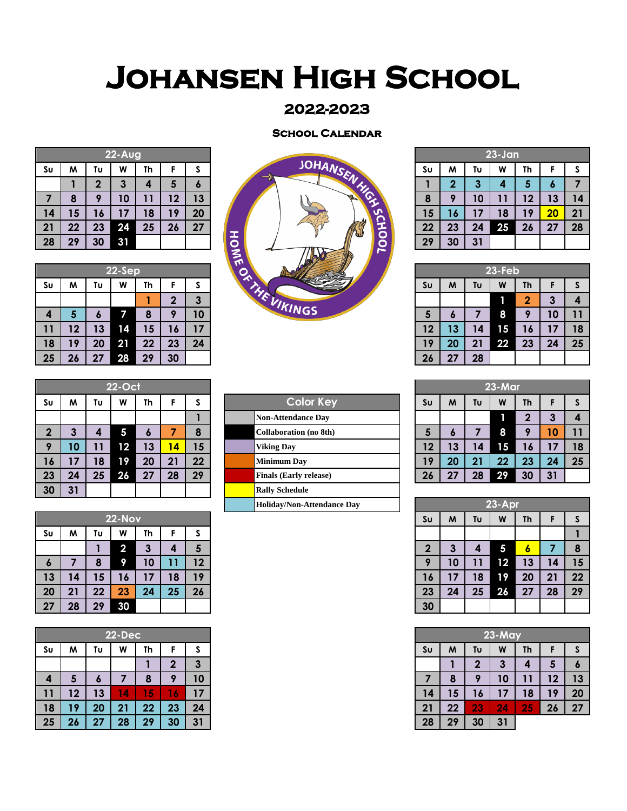## **Johansen High School**

## **2022-2023**

## **School Calendar**

| $22 - \overline{Aug}$ |    |               |    |    |    |    |  |  |  |  |  |  |
|-----------------------|----|---------------|----|----|----|----|--|--|--|--|--|--|
| Su                    | W  | Tυ<br>Th<br>W |    |    | F  | S  |  |  |  |  |  |  |
|                       |    | $\mathbf 2$   | 3  | 4  | 5  | 6  |  |  |  |  |  |  |
| 7                     | 8  | 9             | 10 | 11 | 12 | 13 |  |  |  |  |  |  |
| 14                    | 15 | 16            | 17 | 18 | 19 | 20 |  |  |  |  |  |  |
| 21                    | 22 | 23            | 24 | 25 | 26 | 27 |  |  |  |  |  |  |
| 28                    | 29 | 30            | 31 |    |    |    |  |  |  |  |  |  |

|    |    |     | 22-Sep |    |    |            | $\boldsymbol{u}$ |    |    |  |
|----|----|-----|--------|----|----|------------|------------------|----|----|--|
| Sυ | M  | Tυ  | W      | Th |    |            | ↭                | Sυ | M  |  |
|    |    |     |        |    | m  |            | 73               |    |    |  |
|    | 5  | I o |        |    | г  | 10         | VIKINGS          | o  | r. |  |
| 11 | 12 | 13  | 14     | 15 | r. | $\sqrt{7}$ |                  | 12 | 3  |  |
| 18 | 19 | 20  | 21     | 22 | 23 | 24         |                  | 19 | 20 |  |
| 25 | 26 | 27  | 28     | 29 | 30 |            |                  | 26 | クフ |  |



|    | $23 - Jan$              |                         |    |    |    |    |  |  |  |  |  |  |
|----|-------------------------|-------------------------|----|----|----|----|--|--|--|--|--|--|
| Su | M                       | Tυ                      | W  | Th | F  | S  |  |  |  |  |  |  |
|    | $\overline{\mathbf{2}}$ | $\overline{\mathbf{3}}$ | 4  | 5  | 6  |    |  |  |  |  |  |  |
| 8  | 9                       | 10                      | 11 | 12 | 13 | 14 |  |  |  |  |  |  |
| 15 | 16                      | 17                      | 18 | 19 | 20 | 21 |  |  |  |  |  |  |
| 22 | 23                      | 24                      | 25 | 26 | 27 | 28 |  |  |  |  |  |  |
| 29 | 30                      | 31                      |    |    |    |    |  |  |  |  |  |  |

|    |    |    |           |    |                 |    | $\mathbf{L}$        |    |    |    |               |    |    |    |
|----|----|----|-----------|----|-----------------|----|---------------------|----|----|----|---------------|----|----|----|
|    |    |    | $22-Sep$  |    |                 |    | ⌒                   |    |    |    | <b>23-Feb</b> |    |    |    |
| Sυ | M  | Tυ | W         | Th |                 |    | 灬                   | Sυ | M  | Tυ | W             | Th |    |    |
|    |    |    |           |    |                 | o  |                     |    |    |    |               | n  | г  |    |
| 4  | э  |    |           |    |                 | 10 | <i><b>KINGS</b></i> | э  | о  |    |               |    | 10 |    |
| 11 | 12 | 13 | 14        | 15 | ١6              |    |                     | 12 | 13 | 14 | 15            | 16 |    | 18 |
| 18 | 19 | 20 | <b>21</b> | 22 | 23              | 24 |                     | 19 | 20 | 21 | 22            | 23 | 24 | 25 |
| 25 | 26 | 27 | 28        | 29 | 30 <sup>°</sup> |    |                     | 26 | 27 | 28 |               |    |    |    |

| <b>23-Mar</b>  |    |    |    |                |              |    |  |  |  |  |  |
|----------------|----|----|----|----------------|--------------|----|--|--|--|--|--|
| S <sub>U</sub> | M  | Tυ | W  | F              | S            |    |  |  |  |  |  |
|                |    |    |    | $\overline{2}$ | $\mathbf{3}$ | 4  |  |  |  |  |  |
| $5\phantom{1}$ | 6  | 7  | 8  | 9              | 10           | 11 |  |  |  |  |  |
| 12             | 13 | 14 | 15 | 16             | 17           | 18 |  |  |  |  |  |
| 19             | 20 | 21 | 22 | 23             | 24           | 25 |  |  |  |  |  |
| 26             | 27 | 28 | 29 | 30             | 31           |    |  |  |  |  |  |

| ---              |               |    |        |    |    |    |  |                            |        |    |    |    |           |    |     |  |
|------------------|---------------|----|--------|----|----|----|--|----------------------------|--------|----|----|----|-----------|----|-----|--|
|                  |               |    |        |    |    |    |  | Holiday/Non-Attendance Day | 23-Apr |    |    |    |           |    |     |  |
|                  | <b>22-Nov</b> |    |        |    |    |    |  |                            | Sυ     | M  | Tυ | W  | <b>Th</b> |    |     |  |
| Sυ               | M             | Tυ | W      | Th |    |    |  |                            |        |    |    |    |           |    |     |  |
|                  |               |    | ◠<br>◢ | 3  | 4  | 5  |  |                            | n      | З  |    | ь  | ۰         |    |     |  |
| $\boldsymbol{6}$ |               | ο  |        | 10 |    | 12 |  |                            | Ω      | 10 |    | 12 | 13        | 14 | נ ו |  |
| 13               | 14            | 15 | 16     | 17 | 18 | 19 |  |                            | 16     | 17 | 18 | 19 | 20        | 21 | 22  |  |
| 20               | 21            | 22 | 23     | 24 | 25 | 26 |  |                            | 23     | 24 | 25 | 26 | 27        | 28 | 29  |  |
| 27               | 28            | 29 | 30     |    |    |    |  |                            | 30     |    |    |    |           |    |     |  |

|    | <b>22-Dec</b> |    |    |         |    |    |  |
|----|---------------|----|----|---------|----|----|--|
| Sυ | M             | Tυ | W  | Th      |    | -2 |  |
|    |               |    |    |         | ш  | 3  |  |
| 4  | C             |    |    | r.<br>О |    | 10 |  |
| 11 | 12            | 13 | 4  | 15      | ó  |    |  |
| 18 | 19            | 20 | 21 | 22      | 23 | 24 |  |
| 25 | 26            | 27 | 28 | 29      | 30 | 31 |  |

|                        | <b>22-Oct</b> |    |    |    |    |    |              |  |  |  |  |  |  |
|------------------------|---------------|----|----|----|----|----|--------------|--|--|--|--|--|--|
| Cold                   | S             | F  | Th | W  | Tυ | м  | Sυ           |  |  |  |  |  |  |
| Non-Attendand          |               |    |    |    |    |    |              |  |  |  |  |  |  |
| <b>Collaboration</b>   | 8             |    | 6  | 5  | 4  | 3  | $\mathbf{2}$ |  |  |  |  |  |  |
| <b>Viking Day</b>      | 15            | 14 | 13 | 12 | 11 | 10 | 9            |  |  |  |  |  |  |
| <b>Minimum Day</b>     | 22            | 21 | 20 | 19 | 18 | 17 | 16           |  |  |  |  |  |  |
| <b>Finals (Early r</b> | 29            | 28 | 27 | 26 | 25 | 24 | 23           |  |  |  |  |  |  |
| <b>Rally Schedule</b>  |               |    |    |    |    | 31 | 30           |  |  |  |  |  |  |

| <b>22-Nov</b> |    |    |                         |    |    |    |  |  |  |
|---------------|----|----|-------------------------|----|----|----|--|--|--|
| Sυ            | M  | Tυ | W                       | Th |    | S  |  |  |  |
|               |    |    | $\overline{\mathbf{2}}$ |    | 4  | 5  |  |  |  |
| $\circ$       |    | 8  | 9                       | 10 |    | 12 |  |  |  |
| 13            | 14 | 15 | 16                      |    | 18 | 19 |  |  |  |
| 20            | 21 | 22 | 23                      | 24 | 25 | 26 |  |  |  |
| 27            | 28 | 29 | 30                      |    |    |    |  |  |  |

|    | <b>22-Dec</b> |    |    |        |    |    |  |  |
|----|---------------|----|----|--------|----|----|--|--|
| Sυ | M             | Tυ | W  | Th     | F  | C  |  |  |
|    |               |    |    |        | ∩  | 3  |  |  |
| 4  | G             | o  |    | О<br>О | О  | 10 |  |  |
| 11 | 12            | 13 | 4  | 15,    | 6  | 17 |  |  |
| 18 | 19            | 20 | 21 | 22     | 23 | 24 |  |  |
| 25 | 26            | 27 | 28 | 29     | 30 | 31 |  |  |

| Sυ               | M               | Tυ                                          | W  | Th |                         |    | <b>Color Key</b>              | Su | M         | Tυ | W  | <b>Th</b> |    | S  |
|------------------|-----------------|---------------------------------------------|----|----|-------------------------|----|-------------------------------|----|-----------|----|----|-----------|----|----|
|                  |                 |                                             |    |    |                         |    | <b>Non-Attendance Dav</b>     |    |           |    |    |           | 3  | 4  |
| $\boldsymbol{2}$ | っ<br>J          | 4                                           | 5  | o  |                         |    | <b>Collaboration</b> (no 8th) |    | $\bullet$ |    | 8  |           | 10 | 11 |
| 9                | 10              |                                             | 12 | 13 | $\overline{\mathbf{r}}$ | 15 | <b>Viking Day</b>             | 12 | 13        | 14 | 15 | 16        | 17 | 18 |
| 16               | $\overline{17}$ | 18                                          | 19 | 20 | 21                      | 22 | <b>Minimum Day</b>            | 19 | 20        | 21 | 22 | 23        | 24 | 25 |
| 23               | 24              | 25                                          | 26 | 27 | 28                      | 29 | <b>Finals (Early release)</b> | 26 | -27       | 28 | 29 | 30        | 31 |    |
| 30               | 31              |                                             |    |    |                         |    | <b>Rally Schedule</b>         |    |           |    |    |           |    |    |
|                  |                 | 23-Apr<br><b>Holiday/Non-Attendance Day</b> |    |    |                         |    |                               |    |           |    |    |           |    |    |